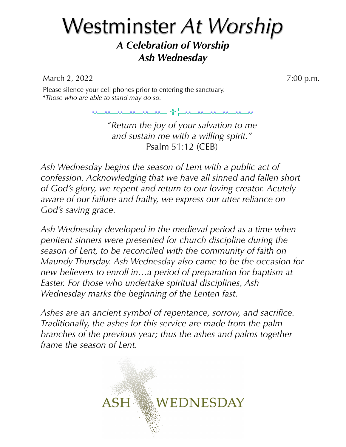# Westminster *At Worship A Celebration of Worship Ash Wednesday*

March 2, 2022 7:00 p.m.

Please silence your cell phones prior to entering the sanctuary. **†***Those who are able to stand may do so.*



*"Return the joy of your salvation to me and sustain me with a willing spirit."* Psalm 51:12 (CEB)

*Ash Wednesday begins the season of Lent with a public act of confession. Acknowledging that we have all sinned and fallen short of God's glory, we repent and return to our loving creator. Acutely aware of our failure and frailty, we express our utter reliance on God's saving grace.*

*Ash Wednesday developed in the medieval period as a time when penitent sinners were presented for church discipline during the season of Lent, to be reconciled with the community of faith on Maundy Thursday. Ash Wednesday also came to be the occasion for new believers to enroll in…a period of preparation for baptism at Easter. For those who undertake spiritual disciplines, Ash Wednesday marks the beginning of the Lenten fast.*

*Ashes are an ancient symbol of repentance, sorrow, and sacrifice. Traditionally, the ashes for this service are made from the palm branches of the previous year; thus the ashes and palms together frame the season of Lent.*

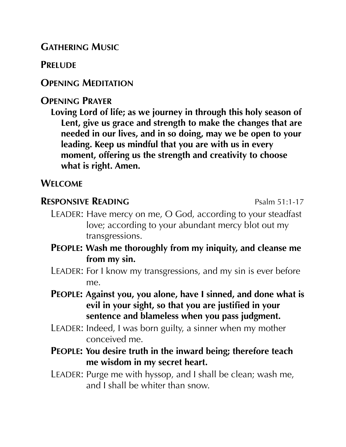### **GATHERING MUSIC**

### **PRELUDE**

### **OPENING MEDITATION**

# **OPENING PRAYER**

**Loving Lord of life; as we journey in through this holy season of Lent, give us grace and strength to make the changes that are needed in our lives, and in so doing, may we be open to your leading. Keep us mindful that you are with us in every moment, offering us the strength and creativity to choose what is right. Amen.**

# **WELCOME**

### **RESPONSIVE READING** Psalm 51:1-17

- LEADER: Have mercy on me, O God, according to your steadfast love; according to your abundant mercy blot out my transgressions.
- **PEOPLE: Wash me thoroughly from my iniquity, and cleanse me from my sin.**
- LEADER: For I know my transgressions, and my sin is ever before me.
- **PEOPLE: Against you, you alone, have I sinned, and done what is evil in your sight, so that you are justified in your sentence and blameless when you pass judgment.**
- LEADER: Indeed, I was born guilty, a sinner when my mother conceived me.
- **PEOPLE: You desire truth in the inward being; therefore teach me wisdom in my secret heart.**
- LEADER: Purge me with hyssop, and I shall be clean; wash me, and I shall be whiter than snow.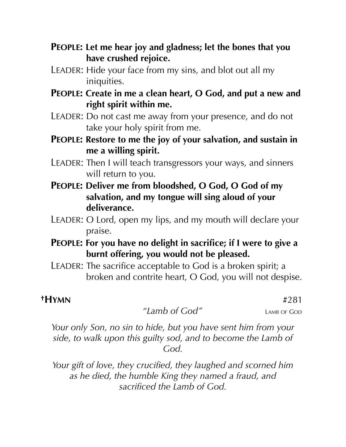- **PEOPLE: Let me hear joy and gladness; let the bones that you have crushed rejoice.**
- LEADER: Hide your face from my sins, and blot out all my iniquities.
- **PEOPLE: Create in me a clean heart, O God, and put a new and right spirit within me.**
- LEADER: Do not cast me away from your presence, and do not take your holy spirit from me.
- **PEOPLE: Restore to me the joy of your salvation, and sustain in me a willing spirit.**
- LEADER: Then I will teach transgressors your ways, and sinners will return to you.
- **PEOPLE: Deliver me from bloodshed, O God, O God of my salvation, and my tongue will sing aloud of your deliverance.**
- LEADER: O Lord, open my lips, and my mouth will declare your praise.
- **PEOPLE: For you have no delight in sacrifice; if I were to give a burnt offering, you would not be pleased.**
- LEADER: The sacrifice acceptable to God is a broken spirit; a broken and contrite heart, O God, you will not despise.

# **†HYMN** #281

 *"Lamb of God"* LAMB OF GOD

*Your only Son, no sin to hide, but you have sent him from your side, to walk upon this guilty sod, and to become the Lamb of God.*

*Your gift of love, they crucified, they laughed and scorned him as he died, the humble King they named a fraud, and sacrificed the Lamb of God.*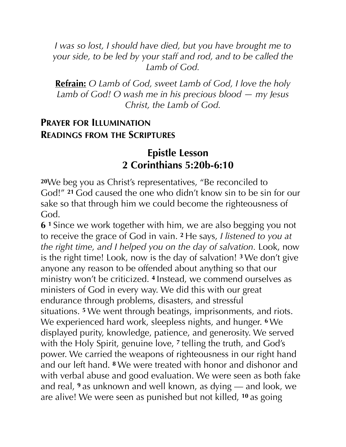*I was so lost, I should have died, but you have brought me to your side, to be led by your staff and rod, and to be called the Lamb of God.*

**Refrain:** *O Lamb of God, sweet Lamb of God, I love the holy Lamb of God! O wash me in his precious blood — my Jesus Christ, the Lamb of God.*

### **PRAYER FOR ILLUMINATION READINGS FROM THE SCRIPTURES**

# **Epistle Lesson 2 Corinthians 5:20b-6:10**

**<sup>20</sup>**We beg you as Christ's representatives, "Be reconciled to God!" **<sup>21</sup>** God caused the one who didn't know sin to be sin for our sake so that through him we could become the righteousness of God.

**6 <sup>1</sup>** Since we work together with him, we are also begging you not to receive the grace of God in vain. **<sup>2</sup>** He says, *I listened to you at the right time, and I helped you on the day of salvation.* Look, now is the right time! Look, now is the day of salvation! **<sup>3</sup>** We don't give anyone any reason to be offended about anything so that our ministry won't be criticized. **<sup>4</sup>** Instead, we commend ourselves as ministers of God in every way. We did this with our great endurance through problems, disasters, and stressful situations. **<sup>5</sup>** We went through beatings, imprisonments, and riots. We experienced hard work, sleepless nights, and hunger. **<sup>6</sup>** We displayed purity, knowledge, patience, and generosity. We served with the Holy Spirit, genuine love, **<sup>7</sup>** telling the truth, and God's power. We carried the weapons of righteousness in our right hand and our left hand. **<sup>8</sup>** We were treated with honor and dishonor and with verbal abuse and good evaluation. We were seen as both fake and real, **<sup>9</sup>** as unknown and well known, as dying — and look, we are alive! We were seen as punished but not killed, **<sup>10</sup>** as going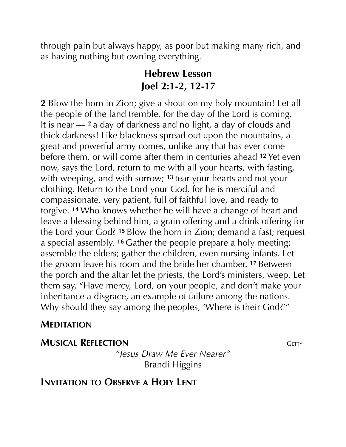through pain but always happy, as poor but making many rich, and as having nothing but owning everything.

# **Hebrew Lesson Joel 2:1-2, 12-17**

**2** Blow the horn in Zion; give a shout on my holy mountain! Let all the people of the land tremble, for the day of the Lord is coming. It is near — **<sup>2</sup>** a day of darkness and no light, a day of clouds and thick darkness! Like blackness spread out upon the mountains, a great and powerful army comes, unlike any that has ever come before them, or will come after them in centuries ahead **<sup>12</sup>** Yet even now, says the Lord, return to me with all your hearts, with fasting, with weeping, and with sorrow; **<sup>13</sup>** tear your hearts and not your clothing. Return to the Lord your God, for he is merciful and compassionate, very patient, full of faithful love, and ready to forgive. **<sup>14</sup>** Who knows whether he will have a change of heart and leave a blessing behind him, a grain offering and a drink offering for the Lord your God? **<sup>15</sup>** Blow the horn in Zion; demand a fast; request a special assembly. **<sup>16</sup>** Gather the people prepare a holy meeting; assemble the elders; gather the children, even nursing infants. Let the groom leave his room and the bride her chamber. **<sup>17</sup>** Between the porch and the altar let the priests, the Lord's ministers, weep. Let them say, "Have mercy, Lord, on your people, and don't make your inheritance a disgrace, an example of failure among the nations. Why should they say among the peoples, 'Where is their God?'"

# **MEDITATION**

**MUSICAL REFLECTION GETTY** 

*"Jesus Draw Me Ever Nearer"*  Brandi Higgins

# **INVITATION TO OBSERVE A HOLY LENT**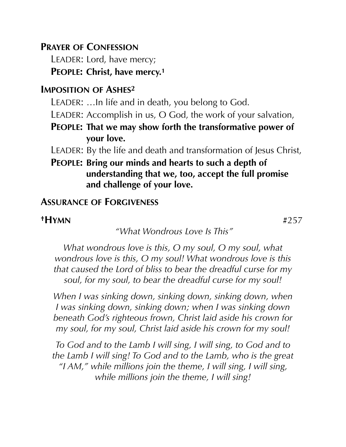### **PRAYER OF CONFESSION**

LEADER: Lord, have mercy;

<span id="page-5-0"></span>**PEOPLE: Christ, have mercy.[1](#page-6-0)**

### **IMPOSITION OF ASHES<sup>2</sup>**

<span id="page-5-1"></span>LEADER: …In life and in death, you belong to God.

LEADER: Accomplish in us, O God, the work of your salvation,

**PEOPLE: That we may show forth the transformative power of your love.**

LEADER: By the life and death and transformation of Jesus Christ,

### **PEOPLE: Bring our minds and hearts to such a depth of understanding that we, too, accept the full promise and challenge of your love.**

# **ASSURANCE OF FORGIVENESS**

# **†HYMN** #257

 *"What Wondrous Love Is This"* 

*What wondrous love is this, O my soul, O my soul, what wondrous love is this, O my soul! What wondrous love is this that caused the Lord of bliss to bear the dreadful curse for my soul, for my soul, to bear the dreadful curse for my soul!*

*When I was sinking down, sinking down, sinking down, when I was sinking down, sinking down; when I was sinking down beneath God's righteous frown, Christ laid aside his crown for my soul, for my soul, Christ laid aside his crown for my soul!*

*To God and to the Lamb I will sing, I will sing, to God and to the Lamb I will sing! To God and to the Lamb, who is the great "I AM," while millions join the theme, I will sing, I will sing, while millions join the theme, I will sing!*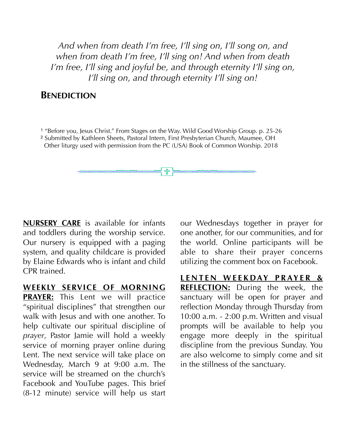*And when from death I'm free, I'll sing on, I'll song on, and when from death I'm free, I'll sing on! And when from death I'm free, I'll sing and joyful be, and through eternity I'll sing on, I'll sing on, and through eternity I'll sing on!*

#### **BENEDICTION**

<span id="page-6-0"></span>[1](#page-5-0) "Before you, Jesus Christ." From Stages on the Way. Wild Good Worship Group. p. 25-26 [2](#page-5-1) Submitted by Kathleen Sheets, Pastoral Intern, First Presbyterian Church, Maumee, OH

<span id="page-6-1"></span>Other liturgy used with permission from the PC (USA) Book of Common Worship. 2018

**NURSERY CARE** is available for infants and toddlers during the worship service. Our nursery is equipped with a paging system, and quality childcare is provided by Elaine Edwards who is infant and child CPR trained.

**WEEKLY SERVICE OF MORNING** 

**PRAYER:** This Lent we will practice "spiritual disciplines" that strengthen our walk with Jesus and with one another. To help cultivate our spiritual discipline of *prayer*, Pastor Jamie will hold a weekly service of morning prayer online during Lent. The next service will take place on Wednesday, March 9 at 9:00 a.m. The service will be streamed on the church's Facebook and YouTube pages. This brief (8-12 minute) service will help us start

our Wednesdays together in prayer for one another, for our communities, and for the world. Online participants will be able to share their prayer concerns utilizing the comment box on Facebook.

LENTEN WEEKDAY PRAYER & **REFLECTION:** During the week, the sanctuary will be open for prayer and reflection Monday through Thursday from 10:00 a.m. - 2:00 p.m. Written and visual prompts will be available to help you engage more deeply in the spiritual discipline from the previous Sunday. You are also welcome to simply come and sit in the stillness of the sanctuary.